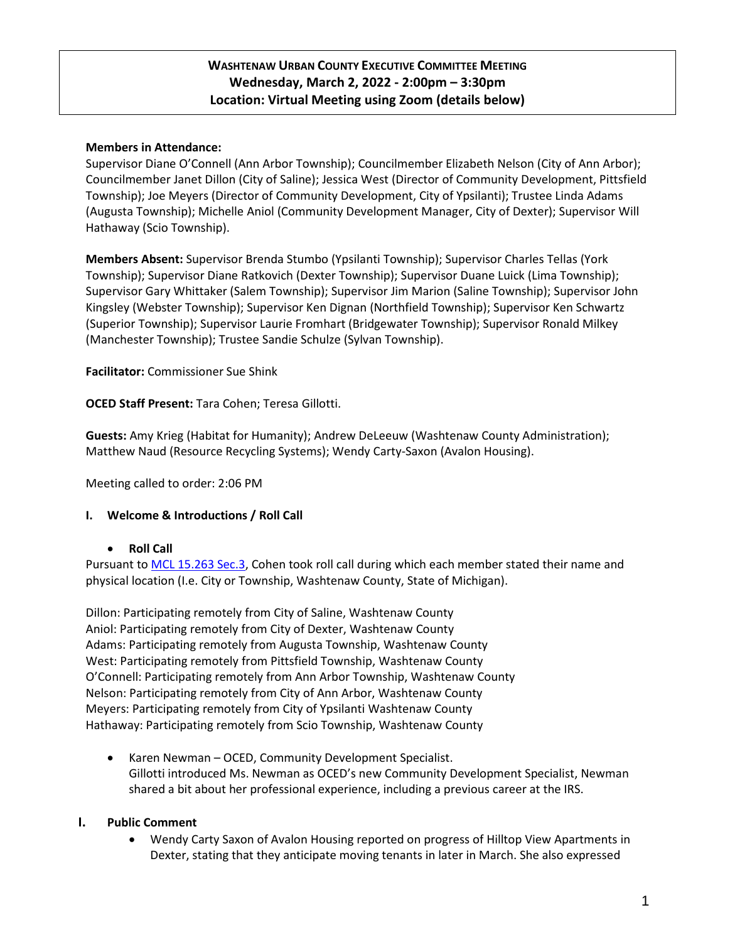# **WASHTENAW URBAN COUNTY EXECUTIVE COMMITTEE MEETING Wednesday, March 2, 2022 - 2:00pm – 3:30pm Location: Virtual Meeting using Zoom (details below)**

### **Members in Attendance:**

Supervisor Diane O'Connell (Ann Arbor Township); Councilmember Elizabeth Nelson (City of Ann Arbor); Councilmember Janet Dillon (City of Saline); Jessica West (Director of Community Development, Pittsfield Township); Joe Meyers (Director of Community Development, City of Ypsilanti); Trustee Linda Adams (Augusta Township); Michelle Aniol (Community Development Manager, City of Dexter); Supervisor Will Hathaway (Scio Township).

**Members Absent:** Supervisor Brenda Stumbo (Ypsilanti Township); Supervisor Charles Tellas (York Township); Supervisor Diane Ratkovich (Dexter Township); Supervisor Duane Luick (Lima Township); Supervisor Gary Whittaker (Salem Township); Supervisor Jim Marion (Saline Township); Supervisor John Kingsley (Webster Township); Supervisor Ken Dignan (Northfield Township); Supervisor Ken Schwartz (Superior Township); Supervisor Laurie Fromhart (Bridgewater Township); Supervisor Ronald Milkey (Manchester Township); Trustee Sandie Schulze (Sylvan Township).

**Facilitator:** Commissioner Sue Shink

**OCED Staff Present:** Tara Cohen; Teresa Gillotti.

**Guests:** Amy Krieg (Habitat for Humanity); Andrew DeLeeuw (Washtenaw County Administration); Matthew Naud (Resource Recycling Systems); Wendy Carty-Saxon (Avalon Housing).

Meeting called to order: 2:06 PM

#### **I. Welcome & Introductions / Roll Call**

#### **Roll Call**

Pursuant t[o MCL 15.263 Sec.3,](http://www.legislature.mi.gov/(S(axbjgekhx50tcsr2wezrew4a))/mileg.aspx?page=getObject&objectName=mcl-15-263) Cohen took roll call during which each member stated their name and physical location (I.e. City or Township, Washtenaw County, State of Michigan).

Dillon: Participating remotely from City of Saline, Washtenaw County Aniol: Participating remotely from City of Dexter, Washtenaw County Adams: Participating remotely from Augusta Township, Washtenaw County West: Participating remotely from Pittsfield Township, Washtenaw County O'Connell: Participating remotely from Ann Arbor Township, Washtenaw County Nelson: Participating remotely from City of Ann Arbor, Washtenaw County Meyers: Participating remotely from City of Ypsilanti Washtenaw County Hathaway: Participating remotely from Scio Township, Washtenaw County

 Karen Newman – OCED, Community Development Specialist. Gillotti introduced Ms. Newman as OCED's new Community Development Specialist, Newman shared a bit about her professional experience, including a previous career at the IRS.

#### **I. Public Comment**

 Wendy Carty Saxon of Avalon Housing reported on progress of Hilltop View Apartments in Dexter, stating that they anticipate moving tenants in later in March. She also expressed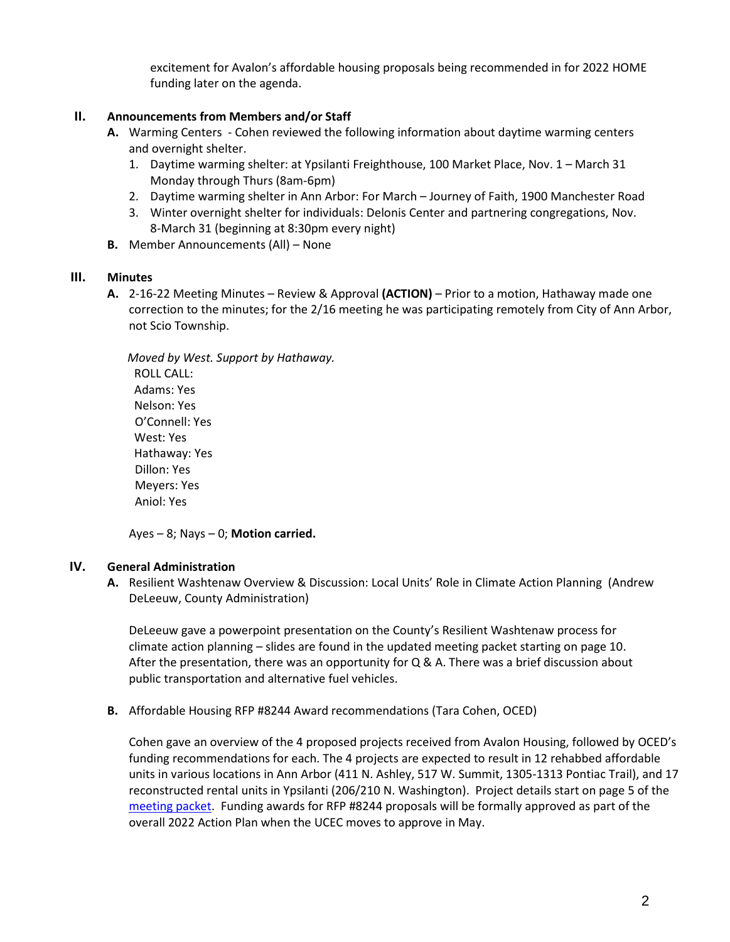excitement for Avalon's affordable housing proposals being recommended in for 2022 HOME funding later on the agenda.

## **II. Announcements from Members and/or Staff**

- **A.** Warming Centers Cohen reviewed the following information about daytime warming centers and overnight shelter.
	- 1. Daytime warming shelter: at Ypsilanti Freighthouse, 100 Market Place, Nov. 1 March 31 Monday through Thurs (8am-6pm)
	- 2. Daytime warming shelter in Ann Arbor: For March Journey of Faith, 1900 Manchester Road
	- 3. Winter overnight shelter for individuals: Delonis Center and partnering congregations, Nov. 8-March 31 (beginning at 8:30pm every night)
- **B.** Member Announcements (All) None

#### **III. Minutes**

**A.** 2-16-22 Meeting Minutes – Review & Approval **(ACTION)** – Prior to a motion, Hathaway made one correction to the minutes; for the 2/16 meeting he was participating remotely from City of Ann Arbor, not Scio Township.

 *Moved by West. Support by Hathaway.*  ROLL CALL: Adams: Yes Nelson: Yes O'Connell: Yes West: Yes Hathaway: Yes Dillon: Yes Meyers: Yes Aniol: Yes

Ayes – 8; Nays – 0; **Motion carried.**

#### **IV. General Administration**

**A.** Resilient Washtenaw Overview & Discussion: Local Units' Role in Climate Action Planning (Andrew DeLeeuw, County Administration)

DeLeeuw gave a powerpoint presentation on the County's Resilient Washtenaw process for climate action planning – slides are found in the updated meeting packet starting on page 10. After the presentation, there was an opportunity for Q & A. There was a brief discussion about public transportation and alternative fuel vehicles.

**B.** Affordable Housing RFP #8244 Award recommendations (Tara Cohen, OCED)

Cohen gave an overview of the 4 proposed projects received from Avalon Housing, followed by OCED's funding recommendations for each. The 4 projects are expected to result in 12 rehabbed affordable units in various locations in Ann Arbor (411 N. Ashley, 517 W. Summit, 1305-1313 Pontiac Trail), and 17 reconstructed rental units in Ypsilanti (206/210 N. Washington). Project details start on page 5 of the [meeting packet.](https://www.washtenaw.org/AgendaCenter/ViewFile/Agenda/_03022022-1724) Funding awards for RFP #8244 proposals will be formally approved as part of the overall 2022 Action Plan when the UCEC moves to approve in May.